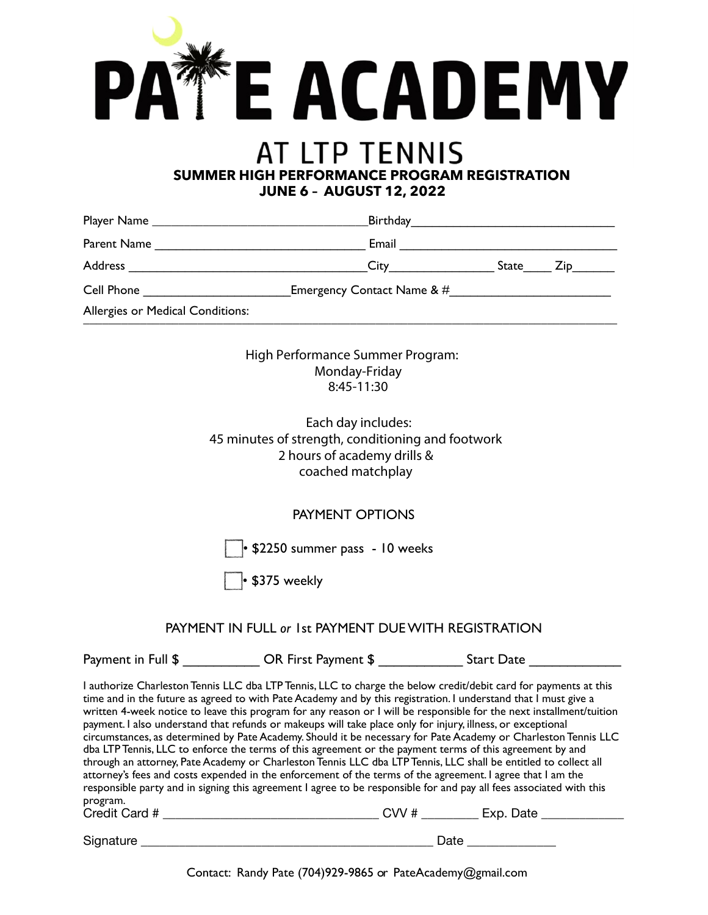

Allergies or Medical Conditions: \_\_\_\_\_\_\_\_\_\_\_\_\_\_\_\_\_\_\_\_\_\_\_\_\_\_\_\_\_\_\_\_\_\_\_\_\_\_\_\_\_\_\_\_\_\_\_\_\_\_\_\_\_\_\_\_\_\_\_\_\_\_\_\_\_\_\_\_\_\_\_\_\_\_\_\_\_\_\_\_\_\_\_\_

> High Performance Summer Program: Monday-Friday 8:45-11:30

 Each day includes: 45 minutes of strength, conditioning and footwork 2 hours of academy drills & coached matchplay

## PAYMENT OPTIONS

• \$2250 summer pass - 10 weeks

• \$375 weekly

## PAYMENT IN FULL *or* 1st PAYMENT DUE WITH REGISTRATION

Payment in Full \$ The Start Date of Start Date Start Date Start Date Assembly Payment \$

I authorize Charleston Tennis LLC dba LTP Tennis, LLC to charge the below credit/debit card for payments at this time and in the future as agreed to with Pate Academy and by this registration. I understand that I must give a written 4-week notice to leave this program for any reason or I will be responsible for the next installment/tuition payment. I also understand that refunds or makeups will take place only for injury, illness, or exceptional circumstances, as determined by Pate Academy. Should it be necessary for Pate Academy or Charleston Tennis LLC dba LTP Tennis, LLC to enforce the terms of this agreement or the payment terms of this agreement by and through an attorney, Pate Academy or Charleston Tennis LLC dba LTP Tennis, LLC shall be entitled to collect all attorney's fees and costs expended in the enforcement of the terms of the agreement. I agree that I am the responsible party and in signing this agreement I agree to be responsible for and pay all fees associated with this program. Credit Card # \_\_\_\_\_\_\_\_\_\_\_\_\_\_\_\_\_\_\_\_\_\_\_\_\_\_\_\_\_\_\_\_\_\_ CVV # \_\_\_\_\_\_\_\_\_ Exp. Date \_\_\_\_\_\_\_\_\_\_\_\_\_

Signature \_\_\_\_\_\_\_\_\_\_\_\_\_\_\_\_\_\_\_\_\_\_\_\_\_\_\_\_\_\_\_\_\_\_\_\_\_\_\_\_\_\_\_\_\_\_ Date \_\_\_\_\_\_\_\_\_\_\_\_\_\_

Contact: Randy Pate (704)929-9865 or PateAcademy@gmail.com